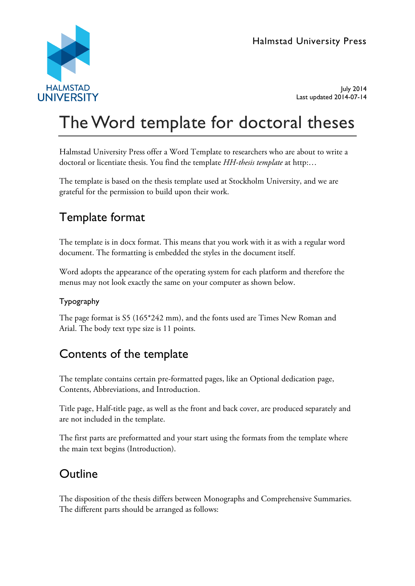

July 2014 Last updated 2014-07-14

# The Word template for doctoral theses

Halmstad University Press offer a Word Template to researchers who are about to write a doctoral or licentiate thesis. You find the template *HH-thesis template* at http:…

The template is based on the thesis template used at Stockholm University, and we are grateful for the permission to build upon their work.

## Template format

The template is in docx format. This means that you work with it as with a regular word document. The formatting is embedded the styles in the document itself.

Word adopts the appearance of the operating system for each platform and therefore the menus may not look exactly the same on your computer as shown below.

## Typography

The page format is S5 (165\*242 mm), and the fonts used are Times New Roman and Arial. The body text type size is 11 points.

## Contents of the template

The template contains certain pre-formatted pages, like an Optional dedication page, Contents, Abbreviations, and Introduction.

Title page, Half-title page, as well as the front and back cover, are produced separately and are not included in the template.

The first parts are preformatted and your start using the formats from the template where the main text begins (Introduction).

## **Outline**

The disposition of the thesis differs between Monographs and Comprehensive Summaries. The different parts should be arranged as follows: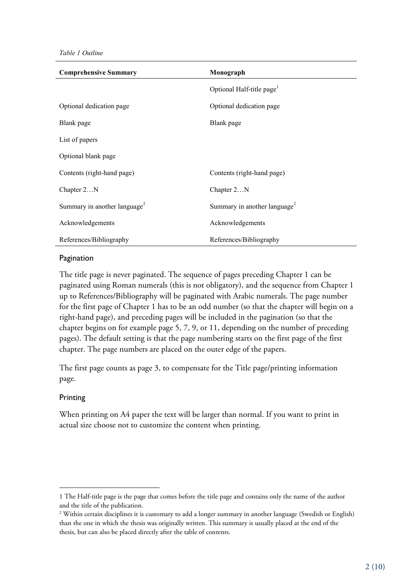*Table 1 Outline*

| <b>Comprehensive Summary</b>             | Monograph                                |
|------------------------------------------|------------------------------------------|
|                                          | Optional Half-title page <sup>1</sup>    |
| Optional dedication page                 | Optional dedication page                 |
| Blank page                               | Blank page                               |
| List of papers                           |                                          |
| Optional blank page                      |                                          |
| Contents (right-hand page)               | Contents (right-hand page)               |
| Chapter 2N                               | Chapter 2N                               |
| Summary in another language <sup>2</sup> | Summary in another language <sup>2</sup> |
| Acknowledgements                         | Acknowledgements                         |
| References/Bibliography                  | References/Bibliography                  |

#### <span id="page-1-0"></span>Pagination

The title page is never paginated. The sequence of pages preceding Chapter 1 can be paginated using Roman numerals (this is not obligatory), and the sequence from Chapter 1 up to References/Bibliography will be paginated with Arabic numerals. The page number for the first page of Chapter 1 has to be an odd number (so that the chapter will begin on a right-hand page), and preceding pages will be included in the pagination (so that the chapter begins on for example page 5, 7, 9, or 11, depending on the number of preceding pages). The default setting is that the page numbering starts on the first page of the first chapter. The page numbers are placed on the outer edge of the papers.

The first page counts as page 3, to compensate for the Title page/printing information page.

### Printing

-

When printing on A4 paper the text will be larger than normal. If you want to print in actual size choose not to customize the content when printing.

<sup>1</sup> The Half-title page is the page that comes before the title page and contains only the name of the author and the title of the publication.

<sup>&</sup>lt;sup>2</sup> Within certain disciplines it is customary to add a longer summary in another language (Swedish or English) than the one in which the thesis was originally written. This summary is usually placed at the end of the thesis, but can also be placed directly after the table of contents.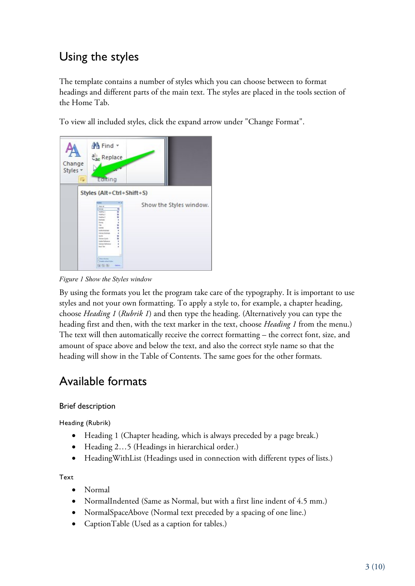## Using the styles

The template contains a number of styles which you can choose between to format headings and different parts of the main text. The styles are placed in the tools section of the Home Tab.

To view all included styles, click the expand arrow under "Change Format".



*Figure 1 Show the Styles window*

By using the formats you let the program take care of the typography. It is important to use styles and not your own formatting. To apply a style to, for example, a chapter heading, choose *Heading 1* (*Rubrik 1*) and then type the heading. (Alternatively you can type the heading first and then, with the text marker in the text, choose *Heading 1* from the menu.) The text will then automatically receive the correct formatting – the correct font, size, and amount of space above and below the text, and also the correct style name so that the heading will show in the Table of Contents. The same goes for the other formats.

## Available formats

## Brief description

Heading (Rubrik)

- Heading 1 (Chapter heading, which is always preceded by a page break.)
- Heading 2... 5 (Headings in hierarchical order.)
- HeadingWithList (Headings used in connection with different types of lists.)

Text

- Normal
- NormalIndented (Same as Normal, but with a first line indent of 4.5 mm.)
- NormalSpaceAbove (Normal text preceded by a spacing of one line.)
- CaptionTable (Used as a caption for tables.)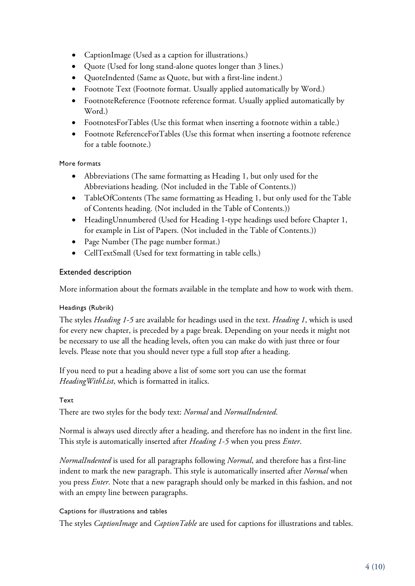- CaptionImage (Used as a caption for illustrations.)
- Quote (Used for long stand-alone quotes longer than 3 lines.)
- QuoteIndented (Same as Quote, but with a first-line indent.)
- Footnote Text (Footnote format. Usually applied automatically by Word.)
- FootnoteReference (Footnote reference format. Usually applied automatically by Word.)
- FootnotesForTables (Use this format when inserting a footnote within a table.)
- Footnote ReferenceForTables (Use this format when inserting a footnote reference for a table footnote.)

### More formats

- Abbreviations (The same formatting as Heading 1, but only used for the Abbreviations heading. (Not included in the Table of Contents.))
- TableOfContents (The same formatting as Heading 1, but only used for the Table of Contents heading. (Not included in the Table of Contents.))
- HeadingUnnumbered (Used for Heading 1-type headings used before Chapter 1, for example in List of Papers. (Not included in the Table of Contents.))
- Page Number (The page number format.)
- CellTextSmall (Used for text formatting in table cells.)

### Extended description

More information about the formats available in the template and how to work with them.

### Headings (Rubrik)

The styles *Heading 1-5* are available for headings used in the text. *Heading 1*, which is used for every new chapter, is preceded by a page break. Depending on your needs it might not be necessary to use all the heading levels, often you can make do with just three or four levels. Please note that you should never type a full stop after a heading.

If you need to put a heading above a list of some sort you can use the format *HeadingWithList*, which is formatted in italics.

### Text

There are two styles for the body text: *Normal* and *NormalIndented*.

Normal is always used directly after a heading, and therefore has no indent in the first line. This style is automatically inserted after *Heading 1-5* when you press *Enter*.

*NormalIndented* is used for all paragraphs following *Normal*, and therefore has a first-line indent to mark the new paragraph. This style is automatically inserted after *Normal* when you press *Enter*. Note that a new paragraph should only be marked in this fashion, and not with an empty line between paragraphs.

### Captions for illustrations and tables

The styles *CaptionImage* and *CaptionTable* are used for captions for illustrations and tables.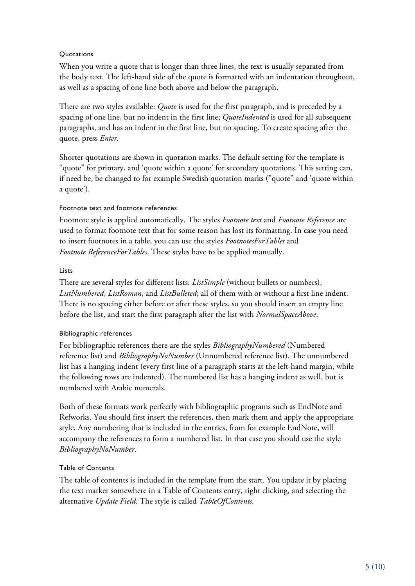## **Quotations**

When you write a quote that is longer than three lines, the text is usually separated from the body text. The left-hand side of the quote is formatted with an indentation throughout, as well as a spacing of one line both above and below the paragraph.

There are two styles available: *Quote* is used for the first paragraph, and is preceded by a spacing of one line, but no indent in the first line; *QuoteIndented* is used for all subsequent paragraphs, and has an indent in the first line, but no spacing. To create spacing after the quote, press *Enter*.

Shorter quotations are shown in quotation marks. The default setting for the template is "quote" for primary, and 'quote within a quote' for secondary quotations. This setting can, if need be, be changed to for example Swedish quotation marks ("quote" and 'quote within a quote').

## Footnote text and footnote references

Footnote style is applied automatically. The styles *Footnote text* and *Footnote Reference* are used to format footnote text that for some reason has lost its formatting. In case you need to insert footnotes in a table, you can use the styles *FootnotesForTables* and *Footnote ReferenceForTables*. These styles have to be applied manually.

## Lists

There are several styles for different lists: *ListSimple* (without bullets or numbers), *ListNumbered*, *ListRoman*, and *ListBulleted*; all of them with or without a first line indent. There is no spacing either before or after these styles, so you should insert an empty line before the list, and start the first paragraph after the list with *NormalSpaceAbove*.

## Bibliographic references

For bibliographic references there are the styles *BibliographyNumbered* (Numbered reference list) and *BibliographyNoNumber* (Unnumbered reference list). The unnumbered list has a hanging indent (every first line of a paragraph starts at the left-hand margin, while the following rows are indented). The numbered list has a hanging indent as well, but is numbered with Arabic numerals.

Both of these formats work perfectly with bibliographic programs such as EndNote and Refworks. You should first insert the references, then mark them and apply the appropriate style. Any numbering that is included in the entries, from for example EndNote, will accompany the references to form a numbered list. In that case you should use the style *BibliographyNoNumber*.

## Table of Contents

The table of contents is included in the template from the start. You update it by placing the text marker somewhere in a Table of Contents entry, right clicking, and selecting the alternative *Update Field*. The style is called *TableOfContents*.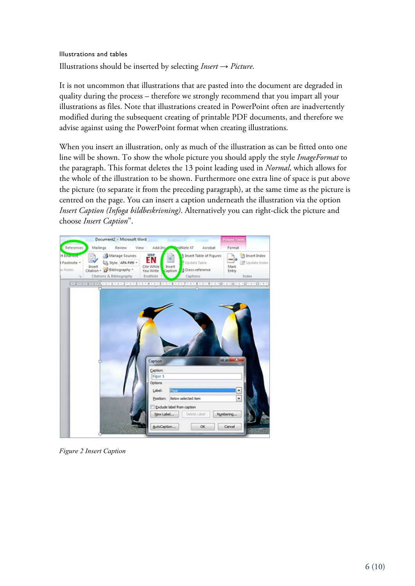## Illustrations and tables Illustrations should be inserted by selecting *Insert* → *Picture*.

It is not uncommon that illustrations that are pasted into the document are degraded in quality during the process – therefore we strongly recommend that you impart all your illustrations as files. Note that illustrations created in PowerPoint often are inadvertently modified during the subsequent creating of printable PDF documents, and therefore we advise against using the PowerPoint format when creating illustrations.

When you insert an illustration, only as much of the illustration as can be fitted onto one line will be shown. To show the whole picture you should apply the style *ImageFormat* to the paragraph. This format deletes the 13 point leading used in *Normal*, which allows for the whole of the illustration to be shown. Furthermore one extra line of space is put above the picture (to separate it from the preceding paragraph), at the same time as the picture is centred on the page. You can insert a caption underneath the illustration via the option *Insert Caption (Infoga bildbeskrivning)*. Alternatively you can right-click the picture and choose *Insert Caption*".



*Figure 2 Insert Caption*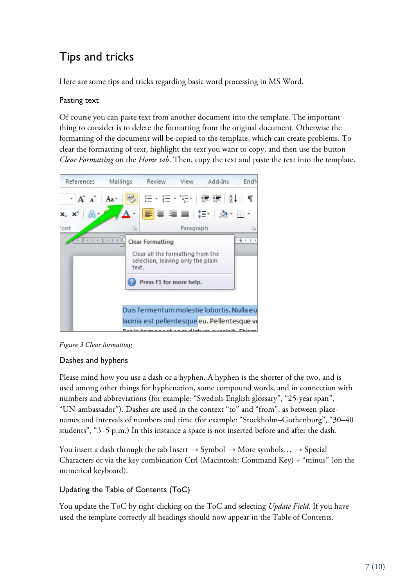## Tips and tricks

Here are some tips and tricks regarding basic word processing in MS Word.

## Pasting text

Of course you can paste text from another document into the template. The important thing to consider is to delete the formatting from the original document. Otherwise the formatting of the document will be copied to the template, which can create problems. To clear the formatting of text, highlight the text you want to copy, and then use the button *Clear Formatting* on the *Home tab*. Then, copy the text and paste the text into the template.





## Dashes and hyphens

Please mind how you use a dash or a hyphen. A hyphen is the shorter of the two, and is used among other things for hyphenation, some compound words, and in connection with numbers and abbreviations (for example: "Swedish-English glossary", "25-year span", "UN-ambassador"). Dashes are used in the context "to" and "from", as between placenames and intervals of numbers and time (for example: "Stockholm–Gothenburg", "30–40 students", "3–5 p.m.) In this instance a space is not inserted before and after the dash.

You insert a dash through the tab Insert  $\rightarrow$  Symbol  $\rightarrow$  More symbols...  $\rightarrow$  Special Characters or via the key combination Ctrl (Macintosh: Command Key) + "minus" (on the numerical keyboard).

## Updating the Table of Contents (ToC)

You update the ToC by right-clicking on the ToC and selecting *Update Field*. If you have used the template correctly all headings should now appear in the Table of Contents.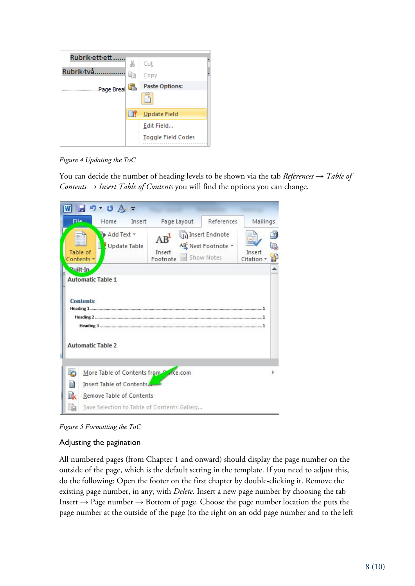| Rubrik-ett-ett |     | Cut                       |
|----------------|-----|---------------------------|
| Rubrik·två     | li∋ | Copy                      |
| Page Breal     | 區   | <b>Paste Options:</b>     |
|                |     | ≡                         |
|                | Ħ.  | Update Field              |
|                |     | Edit Field                |
|                |     | <b>Toggle Field Codes</b> |

*Figure 4 Updating the ToC*

You can decide the number of heading levels to be shown via the tab *References* → *Table of Contents* → *Insert Table of Contents* you will find the options you can change.



*Figure 5 Formatting the ToC*

## Adjusting the pagination

All numbered pages (from Chapter 1 and onward) should display the page number on the outside of the page, which is the default setting in the template. If you need to adjust this, do the following: Open the footer on the first chapter by double-clicking it. Remove the existing page number, in any, with *Delete*. Insert a new page number by choosing the tab Insert  $\rightarrow$  Page number  $\rightarrow$  Bottom of page. Choose the page number location the puts the page number at the outside of the page (to the right on an odd page number and to the left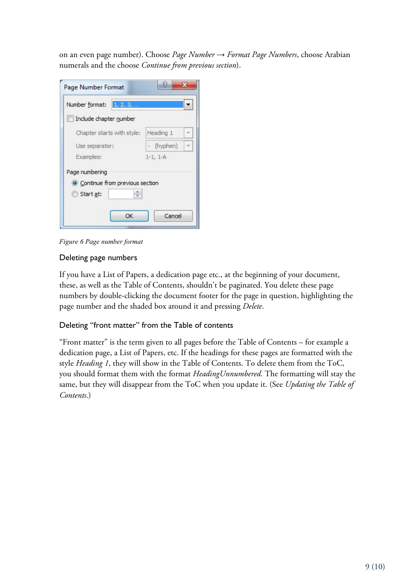on an even page number). Choose *Page Number* → *Format Page Numbers*, choose Arabian numerals and the choose *Continue from previous section*).

| 1, 2, 3,<br>Number format:       |            |  |
|----------------------------------|------------|--|
| Include chapter number           |            |  |
| Chapter starts with style:       | Heading 1  |  |
| Use separator:                   | (hyphen)   |  |
| Examples:                        | $1-1, 1-A$ |  |
| Page numbering                   |            |  |
| • Continue from previous section |            |  |
| Start at:                        |            |  |
| OK                               | Cancel     |  |

*Figure 6 Page number format*

## Deleting page numbers

If you have a List of Papers, a dedication page etc., at the beginning of your document, these, as well as the Table of Contents, shouldn't be paginated. You delete these page numbers by double-clicking the document footer for the page in question, highlighting the page number and the shaded box around it and pressing *Delete*.

## Deleting "front matter" from the Table of contents

"Front matter" is the term given to all pages before the Table of Contents – for example a dedication page, a List of Papers, etc. If the headings for these pages are formatted with the style *Heading 1*, they will show in the Table of Contents. To delete them from the ToC, you should format them with the format *HeadingUnnumbered*. The formatting will stay the same, but they will disappear from the ToC when you update it. (See *Updating the Table of Contents*.)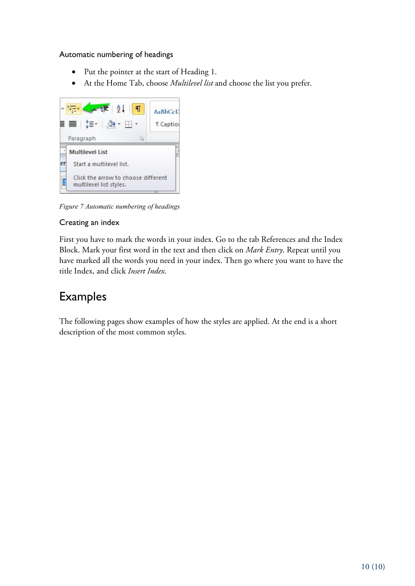## Automatic numbering of headings

- Put the pointer at the start of Heading 1.
- At the Home Tab, choose *Multilevel list* and choose the list you prefer.



*Figure 7 Automatic numbering of headings*

## Creating an index

First you have to mark the words in your index. Go to the tab References and the Index Block. Mark your first word in the text and then click on *Mark Entry*. Repeat until you have marked all the words you need in your index. Then go where you want to have the title Index, and click *Insert Index*.

## Examples

The following pages show examples of how the styles are applied. At the end is a short description of the most common styles.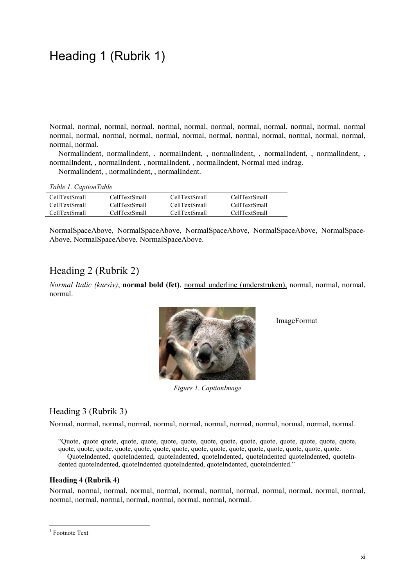## Heading 1 (Rubrik 1)

Normal, normal, normal, normal, normal, normal, normal, normal, normal, normal, normal, normal normal, normal, normal, normal, normal, normal, normal, normal, normal, normal, normal, normal, normal, normal.

NormalIndent, normalIndent, , normalIndent, , normalIndent, , normalIndent, , normalIndent, , normalIndent, , normalIndent, , normalIndent, , normalIndent, Normal med indrag.

NormalIndent, , normalIndent, , normalIndent.

| CellTextSmall        | CellTextSmall        | CellTextSmall | CellTextSmall |
|----------------------|----------------------|---------------|---------------|
| <b>CellTextSmall</b> | <b>CellTextSmall</b> | CellTextSmall | CellTextSmall |
| CellTextSmall        | CellTextSmall        | CellTextSmall | CellTextSmall |

NormalSpaceAbove, NormalSpaceAbove, NormalSpaceAbove, NormalSpaceAbove, NormalSpace-Above, NormalSpaceAbove, NormalSpaceAbove.

## Heading 2 (Rubrik 2)

*Normal Italic (kursiv)*, **normal bold (fet)**, normal underline (understruken), normal, normal, normal, normal.

ImageFormat



*Figure 1. CaptionImage*

## Heading 3 (Rubrik 3)

Normal, normal, normal, normal, normal, normal, normal, normal, normal, normal, normal, normal.

"Quote, quote quote, quote, quote, quote, quote, quote, quote, quote, quote, quote, quote, quote, quote, quote, quote, quote, quote, quote, quote, quote, quote, quote, quote, quote, quote, quote, quote, quote.

QuoteIndented, quoteIndented, quoteIndented, quoteIndented, quoteIndented quoteIndented, quoteIndented quoteIndented, quoteIndented quoteIndented, quoteIndented, quoteIndented."

#### **Heading 4 (Rubrik 4)**

Normal, normal, normal, normal, normal, normal, normal, normal, normal, normal, normal, normal, normal, normal, normal, normal, normal, normal, normal, normal.1

<sup>&</sup>lt;sup>1</sup> Footnote Text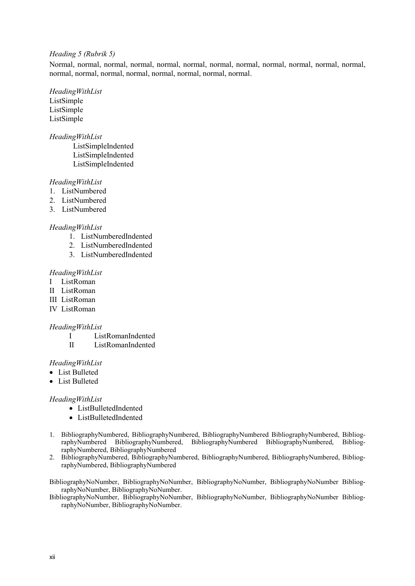#### *Heading 5 (Rubrik 5)*

Normal, normal, normal, normal, normal, normal, normal, normal, normal, normal, normal, normal, normal, normal, normal, normal, normal, normal, normal, normal.

## *HeadingWithList*

ListSimple ListSimple ListSimple

#### *HeadingWithList*

ListSimpleIndented ListSimpleIndented ListSimpleIndented

### *HeadingWithList*

- 1. ListNumbered
- 2. ListNumbered
- 3. ListNumbered

#### *HeadingWithList*

- 1. ListNumberedIndented
- 2. ListNumberedIndented
- 3. ListNumberedIndented

#### *HeadingWithList*

- I ListRoman
- II ListRoman
- III ListRoman
- IV ListRoman

#### *HeadingWithList*

- I ListRomanIndented
- II ListRomanIndented

#### *HeadingWithList*

- List Bulleted
- List Bulleted

#### *HeadingWithList*

- ListBulletedIndented
- ListBulletedIndented
- 1. BibliographyNumbered, BibliographyNumbered, BibliographyNumbered BibliographyNumbered, BibliographyNumbered BibliographyNumbered, BibliographyNumbered BibliographyNumbered, BibliographyNumbered, BibliographyNumbered
- 2. BibliographyNumbered, BibliographyNumbered, BibliographyNumbered, BibliographyNumbered, BibliographyNumbered, BibliographyNumbered

BibliographyNoNumber, BibliographyNoNumber, BibliographyNoNumber, BibliographyNoNumber BibliographyNoNumber, BibliographyNoNumber.

BibliographyNoNumber, BibliographyNoNumber, BibliographyNoNumber, BibliographyNoNumber BibliographyNoNumber, BibliographyNoNumber.